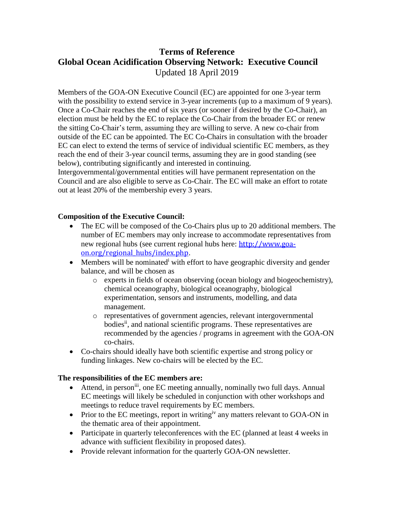## **Terms of Reference Global Ocean Acidification Observing Network: Executive Council** Updated 18 April 2019

Members of the GOA-ON Executive Council (EC) are appointed for one 3-year term with the possibility to extend service in 3-year increments (up to a maximum of 9 years). Once a Co-Chair reaches the end of six years (or sooner if desired by the Co-Chair), an election must be held by the EC to replace the Co-Chair from the broader EC or renew the sitting Co-Chair's term, assuming they are willing to serve. A new co-chair from outside of the EC can be appointed. The EC Co-Chairs in consultation with the broader EC can elect to extend the terms of service of individual scientific EC members, as they reach the end of their 3-year council terms, assuming they are in good standing (see below), contributing significantly and interested in continuing.

Intergovernmental/governmental entities will have permanent representation on the Council and are also eligible to serve as Co-Chair. The EC will make an effort to rotate out at least 20% of the membership every 3 years.

## **Composition of the Executive Council:**

- The EC will be composed of the Co-Chairs plus up to 20 additional members. The number of EC members may only increase to accommodate representatives from new regional hubs (see current regional hubs here: [http://www.goa](http://www.goa-on.org/regional_hubs/index.php)[on.org/regional\\_hubs/index.php](http://www.goa-on.org/regional_hubs/index.php).
- Members will be nominated with effort to have geographic diversity and gender balance, and will be chosen as
	- o experts in fields of ocean observing (ocean biology and biogeochemistry), chemical oceanography, biological oceanography, biological experimentation, sensors and instruments, modelling, and data management.
	- o representatives of government agencies, relevant intergovernmental bodies<sup>ii</sup>, and national scientific programs. These representatives are recommended by the agencies / programs in agreement with the GOA-ON co-chairs.
- Co-chairs should ideally have both scientific expertise and strong policy or funding linkages. New co-chairs will be elected by the EC.

## **The responsibilities of the EC members are:**

- Attend, in person<sup>iii</sup>, one EC meeting annually, nominally two full days. Annual EC meetings will likely be scheduled in conjunction with other workshops and meetings to reduce travel requirements by EC members.
- Prior to the EC meetings, report in writing<sup>iv</sup> any matters relevant to GOA-ON in the thematic area of their appointment.
- Participate in quarterly teleconferences with the EC (planned at least 4 weeks in advance with sufficient flexibility in proposed dates).
- Provide relevant information for the quarterly GOA-ON newsletter.